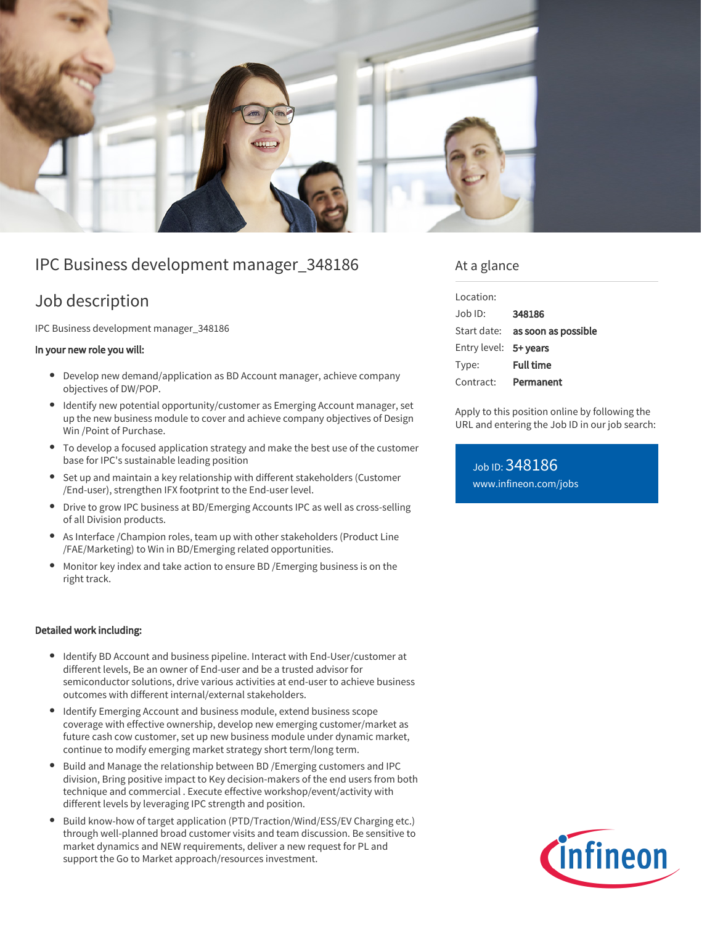

# IPC Business development manager\_348186

## Job description

IPC Business development manager\_348186

### In your new role you will:

- Develop new demand/application as BD Account manager, achieve company objectives of DW/POP.
- Identify new potential opportunity/customer as Emerging Account manager, set up the new business module to cover and achieve company objectives of Design Win /Point of Purchase.
- To develop a focused application strategy and make the best use of the customer base for IPC's sustainable leading position
- Set up and maintain a key relationship with different stakeholders (Customer /End-user), strengthen IFX footprint to the End-user level.
- Drive to grow IPC business at BD/Emerging Accounts IPC as well as cross-selling of all Division products.
- As Interface /Champion roles, team up with other stakeholders (Product Line /FAE/Marketing) to Win in BD/Emerging related opportunities.
- Monitor key index and take action to ensure BD /Emerging business is on the right track.

#### Detailed work including:

- Identify BD Account and business pipeline. Interact with End-User/customer at different levels, Be an owner of End-user and be a trusted advisor for semiconductor solutions, drive various activities at end-user to achieve business outcomes with different internal/external stakeholders.
- Identify Emerging Account and business module, extend business scope coverage with effective ownership, develop new emerging customer/market as future cash cow customer, set up new business module under dynamic market, continue to modify emerging market strategy short term/long term.
- Build and Manage the relationship between BD /Emerging customers and IPC division, Bring positive impact to Key decision-makers of the end users from both technique and commercial . Execute effective workshop/event/activity with different levels by leveraging IPC strength and position.
- Build know-how of target application (PTD/Traction/Wind/ESS/EV Charging etc.) through well-planned broad customer visits and team discussion. Be sensitive to market dynamics and NEW requirements, deliver a new request for PL and support the Go to Market approach/resources investment.

### At a glance

| Location:             |                                        |
|-----------------------|----------------------------------------|
| Job ID:               | 348186                                 |
|                       | Start date: <b>as soon as possible</b> |
| Entry level: 5+ years |                                        |
| Type:                 | <b>Full time</b>                       |
| Contract:             | Permanent                              |

Apply to this position online by following the URL and entering the Job ID in our job search:

Job ID: 348186 [www.infineon.com/jobs](https://www.infineon.com/jobs)